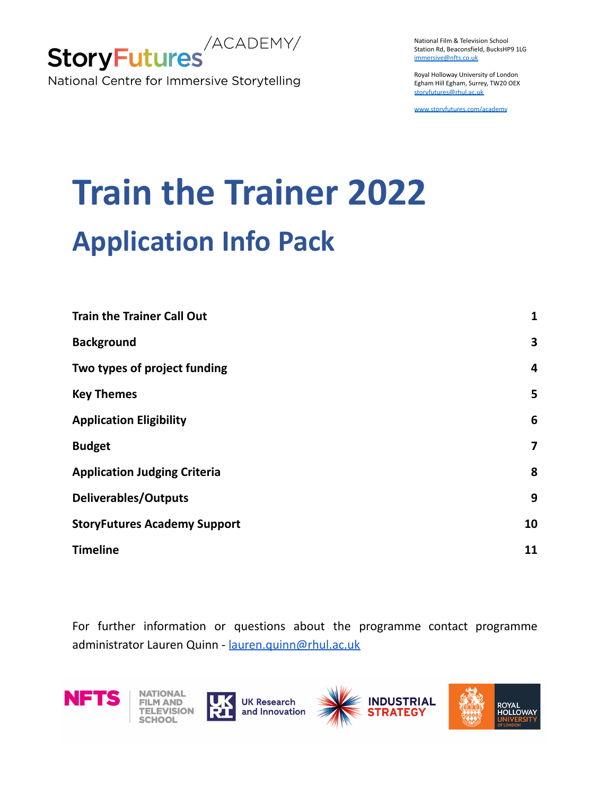

National Film & Television School Station Rd, Beaconsfield, BucksHP9 1LG [immersive@nfts.co.uk](mailto:immersive@nfts.co.uk)

Royal Holloway University of London Egham Hill Egham, Surrey, TW20 OEX [storyfutures@rhul.ac.uk](mailto:storyfutures@rhul.ac.uk)

[www.storyfutures.com/academy](http://www.storyfutures.com/academy)

# **Train the Trainer 2022 Application Info Pack**

| <b>Train the Trainer Call Out</b>   | 1  |
|-------------------------------------|----|
| <b>Background</b>                   | 3  |
| Two types of project funding        | 4  |
| <b>Key Themes</b>                   | 5  |
| <b>Application Eligibility</b>      | 6  |
| <b>Budget</b>                       | 7  |
| <b>Application Judging Criteria</b> | 8  |
| <b>Deliverables/Outputs</b>         | 9  |
| <b>StoryFutures Academy Support</b> | 10 |
| <b>Timeline</b>                     | 11 |

For further information or questions about the programme contact programme administrator Lauren Quinn - [lauren.quinn@rhul.ac.uk](mailto:lauren.quinn@rhul.ac.uk)

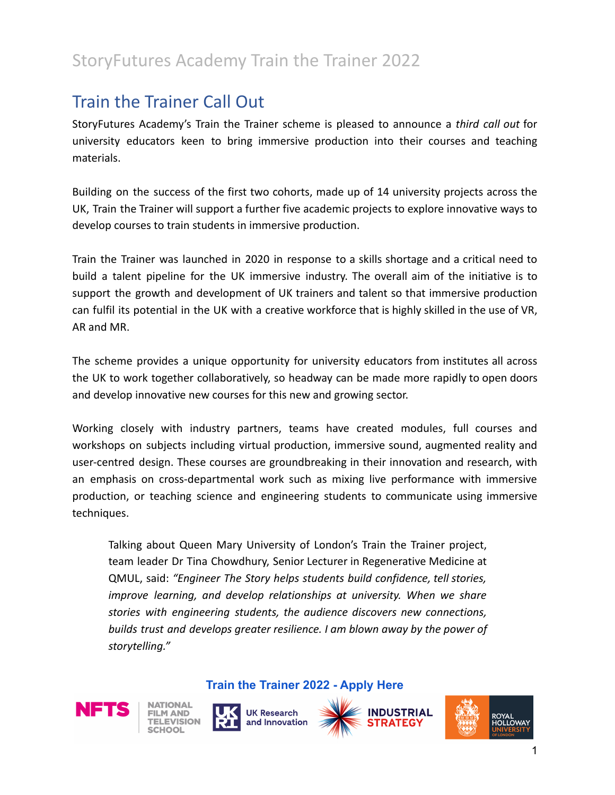## <span id="page-1-0"></span>Train the Trainer Call Out

StoryFutures Academy's Train the Trainer scheme is pleased to announce a *third call out* for university educators keen to bring immersive production into their courses and teaching materials.

Building on the success of the first two cohorts, made up of 14 university projects across the UK, Train the Trainer will support a further five academic projects to explore innovative ways to develop courses to train students in immersive production.

Train the Trainer was launched in 2020 in response to a skills shortage and a critical need to build a talent pipeline for the UK immersive industry. The overall aim of the initiative is to support the growth and development of UK trainers and talent so that immersive production can fulfil its potential in the UK with a creative workforce that is highly skilled in the use of VR, AR and MR.

The scheme provides a unique opportunity for university educators from institutes all across the UK to work together collaboratively, so headway can be made more rapidly to open doors and develop innovative new courses for this new and growing sector.

Working closely with industry partners, teams have created modules, full courses and workshops on subjects including virtual production, immersive sound, augmented reality and user-centred design. These courses are groundbreaking in their innovation and research, with an emphasis on cross-departmental work such as mixing live performance with immersive production, or teaching science and engineering students to communicate using immersive techniques.

Talking about Queen Mary University of London's Train the Trainer project, team leader Dr Tina Chowdhury, Senior Lecturer in Regenerative Medicine at QMUL, said: *"Engineer The Story helps students build confidence, tell stories, improve learning, and develop relationships at university. When we share stories with engineering students, the audience discovers new connections, builds trust and develops greater resilience. I am blown away by the power of storytelling."*









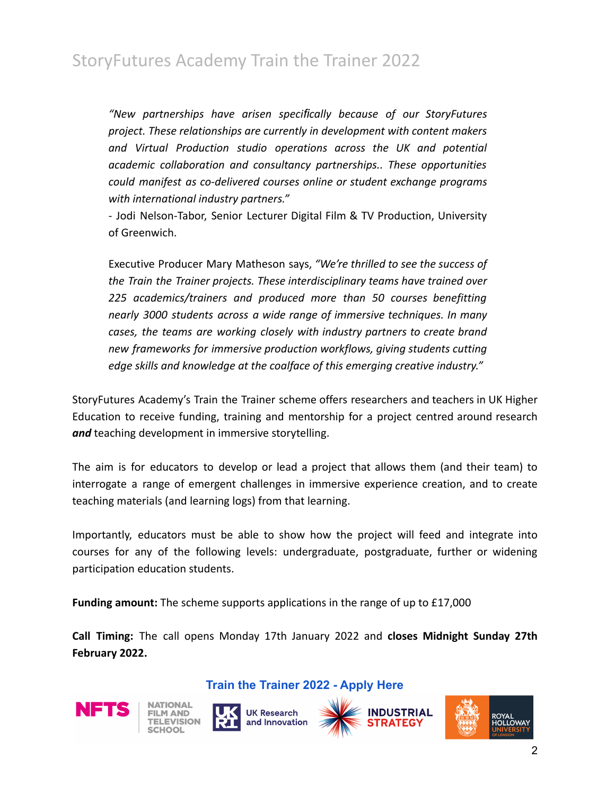*"New partnerships have arisen specifically because of our StoryFutures project. These relationships are currently in development with content makers and Virtual Production studio operations across the UK and potential academic collaboration and consultancy partnerships.. These opportunities could manifest as co-delivered courses online or student exchange programs with international industry partners."*

- Jodi Nelson-Tabor, Senior Lecturer Digital Film & TV Production, University of Greenwich.

Executive Producer Mary Matheson says, *"We're thrilled to see the success of the Train the Trainer projects. These interdisciplinary teams have trained over 225 academics/trainers and produced more than 50 courses benefitting nearly 3000 students across a wide range of immersive techniques. In many cases, the teams are working closely with industry partners to create brand new frameworks for immersive production workflows, giving students cutting edge skills and knowledge at the coalface of this emerging creative industry."*

StoryFutures Academy's Train the Trainer scheme offers researchers and teachers in UK Higher Education to receive funding, training and mentorship for a project centred around research *and* teaching development in immersive storytelling.

The aim is for educators to develop or lead a project that allows them (and their team) to interrogate a range of emergent challenges in immersive experience creation, and to create teaching materials (and learning logs) from that learning.

Importantly, educators must be able to show how the project will feed and integrate into courses for any of the following levels: undergraduate, postgraduate, further or widening participation education students.

**Funding amount:** The scheme supports applications in the range of up to £17,000

**Call Timing:** The call opens Monday 17th January 2022 and **closes Midnight Sunday 27th February 2022.**









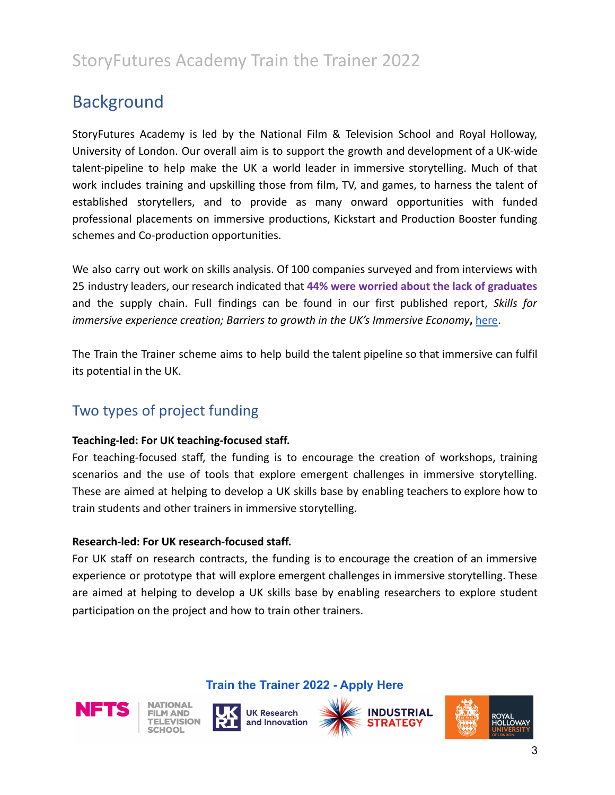## <span id="page-3-0"></span>Background

StoryFutures Academy is led by the National Film & Television School and Royal Holloway, University of London. Our overall aim is to support the growth and development of a UK-wide talent-pipeline to help make the UK a world leader in immersive storytelling. Much of that work includes training and upskilling those from film, TV, and games, to harness the talent of established storytellers, and to provide as many onward opportunities with funded professional placements on immersive productions, Kickstart and Production Booster funding schemes and Co-production opportunities.

We also carry out work on skills analysis. Of 100 companies surveyed and from interviews with 25 industry leaders, our research indicated that **44% were worried about the lack of graduates** and the supply chain. Full findings can be found in our first published report, *Skills for immersive experience creation; Barriers to growth in the UK's Immersive Economy***,** [here.](https://www.storyfutures.com/resources?filter=reports)

The Train the Trainer scheme aims to help build the talent pipeline so that immersive can fulfil its potential in the UK.

## <span id="page-3-1"></span>Two types of project funding

#### **Teaching-led: For UK teaching-focused staff.**

For teaching-focused staff, the funding is to encourage the creation of workshops, training scenarios and the use of tools that explore emergent challenges in immersive storytelling. These are aimed at helping to develop a UK skills base by enabling teachers to explore how to train students and other trainers in immersive storytelling.

#### **Research-led: For UK research-focused staff.**

For UK staff on research contracts, the funding is to encourage the creation of an immersive experience or prototype that will explore emergent challenges in immersive storytelling. These are aimed at helping to develop a UK skills base by enabling researchers to explore student participation on the project and how to train other trainers.









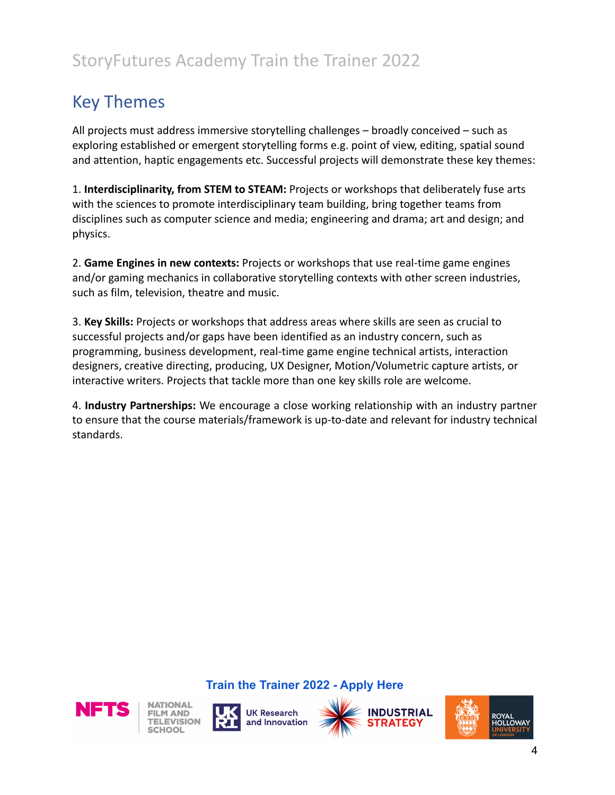## <span id="page-4-0"></span>Key Themes

All projects must address immersive storytelling challenges – broadly conceived – such as exploring established or emergent storytelling forms e.g. point of view, editing, spatial sound and attention, haptic engagements etc. Successful projects will demonstrate these key themes:

1. **Interdisciplinarity, from STEM to STEAM:** Projects or workshops that deliberately fuse arts with the sciences to promote interdisciplinary team building, bring together teams from disciplines such as computer science and media; engineering and drama; art and design; and physics.

2. **Game Engines in new contexts:** Projects or workshops that use real-time game engines and/or gaming mechanics in collaborative storytelling contexts with other screen industries, such as film, television, theatre and music.

3. **Key Skills:** Projects or workshops that address areas where skills are seen as crucial to successful projects and/or gaps have been identified as an industry concern, such as programming, business development, real-time game engine technical artists, interaction designers, creative directing, producing, UX Designer, Motion/Volumetric capture artists, or interactive writers. Projects that tackle more than one key skills role are welcome.

4. **Industry Partnerships:** We encourage a close working relationship with an industry partner to ensure that the course materials/framework is up-to-date and relevant for industry technical standards.









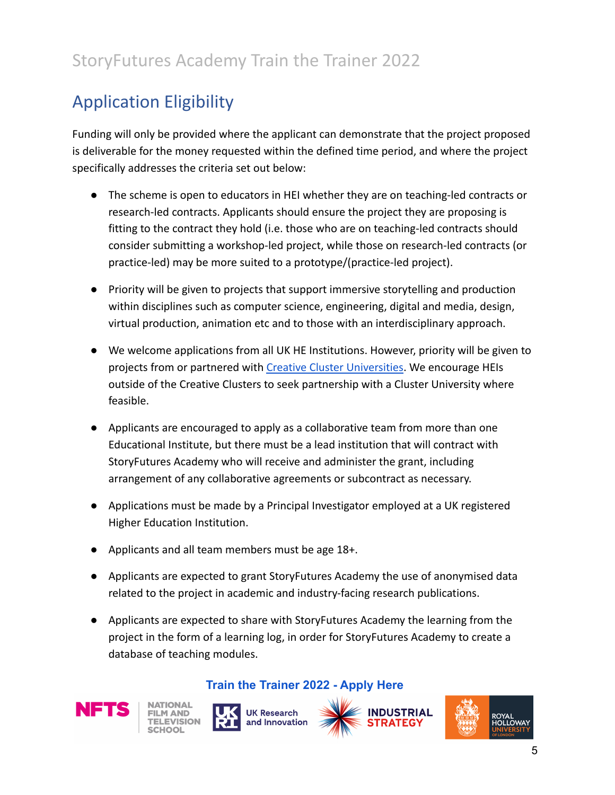# <span id="page-5-0"></span>Application Eligibility

Funding will only be provided where the applicant can demonstrate that the project proposed is deliverable for the money requested within the defined time period, and where the project specifically addresses the criteria set out below:

- The scheme is open to educators in HEI whether they are on teaching-led contracts or research-led contracts. Applicants should ensure the project they are proposing is fitting to the contract they hold (i.e. those who are on teaching-led contracts should consider submitting a workshop-led project, while those on research-led contracts (or practice-led) may be more suited to a prototype/(practice-led project).
- Priority will be given to projects that support immersive storytelling and production within disciplines such as computer science, engineering, digital and media, design, virtual production, animation etc and to those with an interdisciplinary approach.
- We welcome applications from all UK HE Institutions. However, priority will be given to projects from or partnered with [Creative Cluster Universities.](https://creativeindustriesclusters.com/) We encourage HEIs outside of the Creative Clusters to seek partnership with a Cluster University where feasible.
- Applicants are encouraged to apply as a collaborative team from more than one Educational Institute, but there must be a lead institution that will contract with StoryFutures Academy who will receive and administer the grant, including arrangement of any collaborative agreements or subcontract as necessary.
- Applications must be made by a Principal Investigator employed at a UK registered Higher Education Institution.
- Applicants and all team members must be age 18+.
- Applicants are expected to grant StoryFutures Academy the use of anonymised data related to the project in academic and industry-facing research publications.
- Applicants are expected to share with StoryFutures Academy the learning from the project in the form of a learning log, in order for StoryFutures Academy to create a database of teaching modules.

#### **[Train the Trainer 2022 - Apply Here](https://www.storyfutures.com/academy/skills/train-the-trainer)**



**NATIONAL FILM AND ELEVISION** 





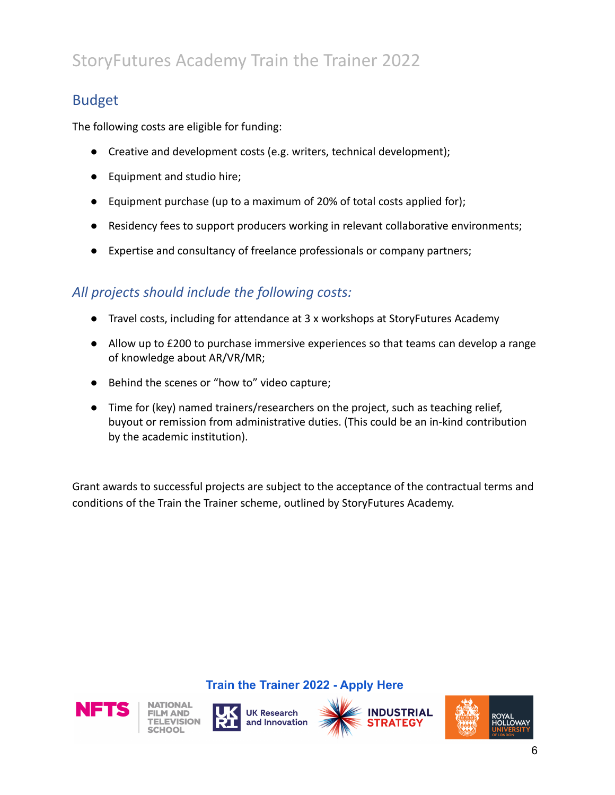## <span id="page-6-0"></span>Budget

The following costs are eligible for funding:

- Creative and development costs (e.g. writers, technical development);
- Equipment and studio hire;
- Equipment purchase (up to a maximum of 20% of total costs applied for);
- Residency fees to support producers working in relevant collaborative environments;
- Expertise and consultancy of freelance professionals or company partners;

## *All projects should include the following costs:*

- Travel costs, including for attendance at 3 x workshops at StoryFutures Academy
- Allow up to £200 to purchase immersive experiences so that teams can develop a range of knowledge about AR/VR/MR;
- Behind the scenes or "how to" video capture;
- Time for (key) named trainers/researchers on the project, such as teaching relief, buyout or remission from administrative duties. (This could be an in-kind contribution by the academic institution).

Grant awards to successful projects are subject to the acceptance of the contractual terms and conditions of the Train the Trainer scheme, outlined by StoryFutures Academy.









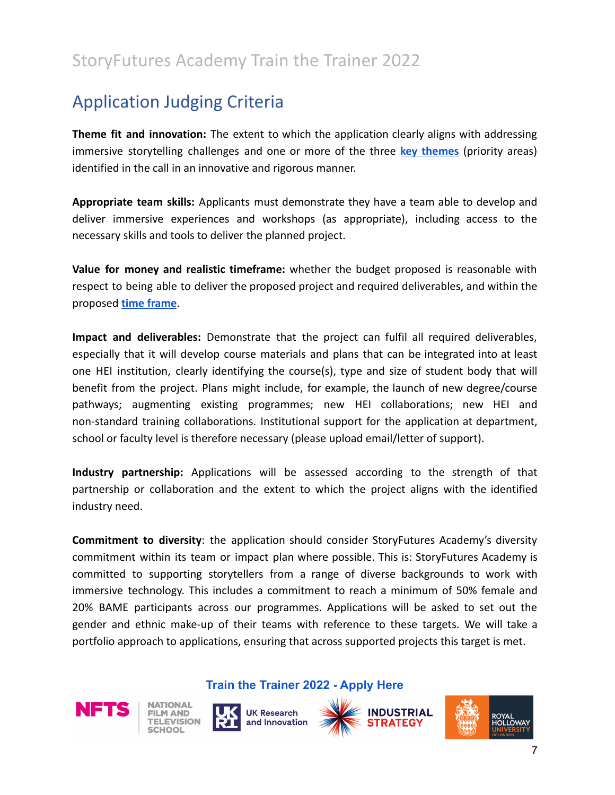## <span id="page-7-0"></span>Application Judging Criteria

**Theme fit and innovation:** The extent to which the application clearly aligns with addressing immersive storytelling challenges and one or more of the three **key [themes](#page-4-0)** (priority areas) identified in the call in an innovative and rigorous manner.

**Appropriate team skills:** Applicants must demonstrate they have a team able to develop and deliver immersive experiences and workshops (as appropriate), including access to the necessary skills and tools to deliver the planned project.

**Value for money and realistic timeframe:** whether the budget proposed is reasonable with respect to being able to deliver the proposed project and required deliverables, and within the proposed **[time frame](#page-10-0)**.

**Impact and deliverables:** Demonstrate that the project can fulfil all required deliverables, especially that it will develop course materials and plans that can be integrated into at least one HEI institution, clearly identifying the course(s), type and size of student body that will benefit from the project. Plans might include, for example, the launch of new degree/course pathways; augmenting existing programmes; new HEI collaborations; new HEI and non-standard training collaborations. Institutional support for the application at department, school or faculty level is therefore necessary (please upload email/letter of support).

**Industry partnership:** Applications will be assessed according to the strength of that partnership or collaboration and the extent to which the project aligns with the identified industry need.

**Commitment to diversity**: the application should consider StoryFutures Academy's diversity commitment within its team or impact plan where possible. This is: StoryFutures Academy is committed to supporting storytellers from a range of diverse backgrounds to work with immersive technology. This includes a commitment to reach a minimum of 50% female and 20% BAME participants across our programmes. Applications will be asked to set out the gender and ethnic make-up of their teams with reference to these targets. We will take a portfolio approach to applications, ensuring that across supported projects this target is met.









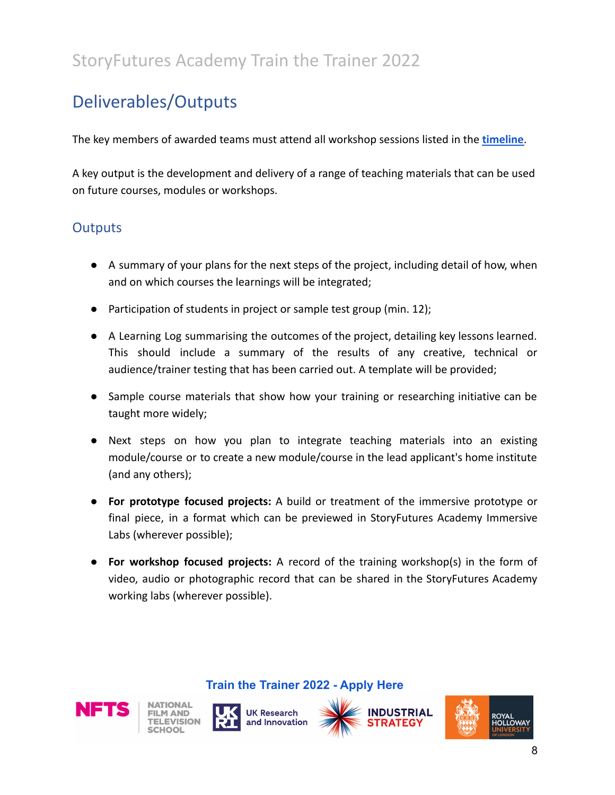## <span id="page-8-0"></span>Deliverables/Outputs

The key members of awarded teams must attend all workshop sessions listed in the **[timeline](#page-10-0)**.

A key output is the development and delivery of a range of teaching materials that can be used on future courses, modules or workshops.

### **Outputs**

- A summary of your plans for the next steps of the project, including detail of how, when and on which courses the learnings will be integrated;
- Participation of students in project or sample test group (min. 12);
- A Learning Log summarising the outcomes of the project, detailing key lessons learned. This should include a summary of the results of any creative, technical or audience/trainer testing that has been carried out. A template will be provided;
- Sample course materials that show how your training or researching initiative can be taught more widely;
- Next steps on how you plan to integrate teaching materials into an existing module/course or to create a new module/course in the lead applicant's home institute (and any others);
- **For prototype focused projects:** A build or treatment of the immersive prototype or final piece, in a format which can be previewed in StoryFutures Academy Immersive Labs (wherever possible);
- **For workshop focused projects:** A record of the training workshop(s) in the form of video, audio or photographic record that can be shared in the StoryFutures Academy working labs (wherever possible).









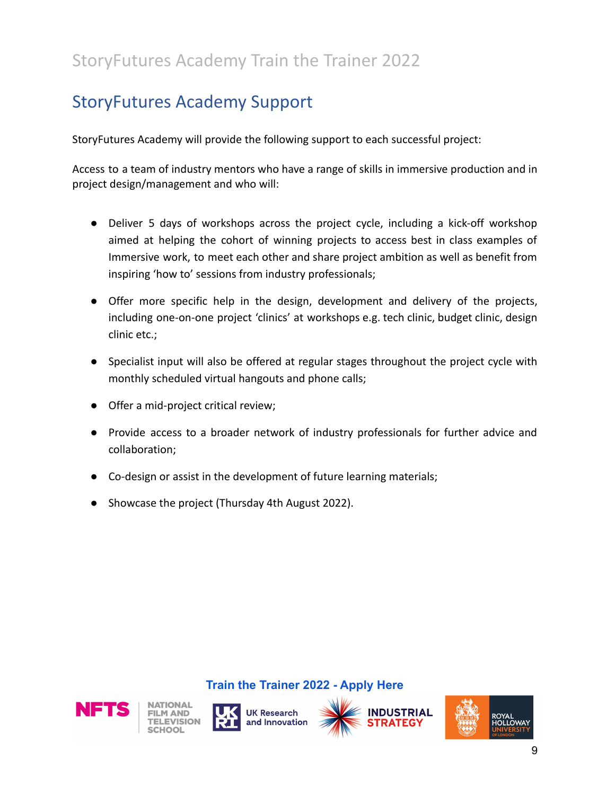## <span id="page-9-0"></span>StoryFutures Academy Support

StoryFutures Academy will provide the following support to each successful project:

Access to a team of industry mentors who have a range of skills in immersive production and in project design/management and who will:

- Deliver 5 days of workshops across the project cycle, including a kick-off workshop aimed at helping the cohort of winning projects to access best in class examples of Immersive work, to meet each other and share project ambition as well as benefit from inspiring 'how to' sessions from industry professionals;
- Offer more specific help in the design, development and delivery of the projects, including one-on-one project 'clinics' at workshops e.g. tech clinic, budget clinic, design clinic etc.;
- Specialist input will also be offered at regular stages throughout the project cycle with monthly scheduled virtual hangouts and phone calls;
- Offer a mid-project critical review;
- Provide access to a broader network of industry professionals for further advice and collaboration;
- Co-design or assist in the development of future learning materials;
- Showcase the project (Thursday 4th August 2022).